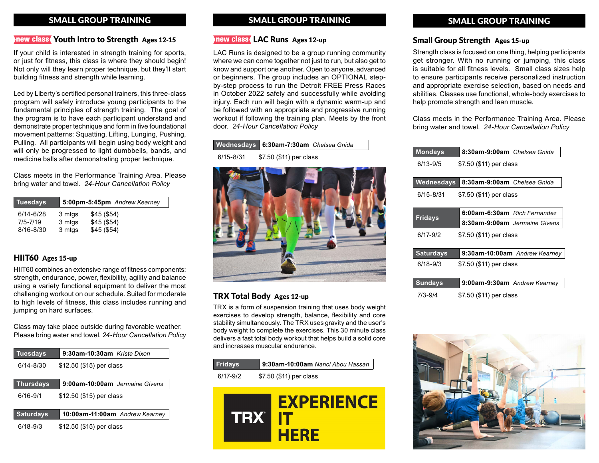# SMALL GROUP TRAINING SMALL GROUP TRAINING

### Inew class Youth Intro to Strength Ages 12-15

If your child is interested in strength training for sports, or just for fitness, this class is where they should begin! Not only will they learn proper technique, but they'll start building fitness and strength while learning.

Led by Liberty's certified personal trainers, this three-class program will safely introduce young participants to the fundamental principles of strength training. The goal of the program is to have each participant understand and demonstrate proper technique and form in five foundational movement patterns: Squatting, Lifting, Lunging, Pushing, Pulling. All participants will begin using body weight and will only be progressed to light dumbbells, bands, and medicine balls after demonstrating proper technique.

Class meets in the Performance Training Area. Please bring water and towel. *24-Hour Cancellation Policy*

| <b>Tuesdays</b> |        | 5:00pm-5:45pm Andrew Kearney |
|-----------------|--------|------------------------------|
| $6/14 - 6/28$   | 3 mtgs | \$45(\$54)                   |
| $7/5 - 7/19$    | 3 mtgs | \$45(\$54)                   |
| 8/16-8/30       | 3 mtgs | \$45(\$54)                   |

## HIIT60 Ages 15-up

HIIT60 combines an extensive range of fitness components: strength, endurance, power, flexibility, agility and balance using a variety functional equipment to deliver the most challenging workout on our schedule. Suited for moderate to high levels of fitness, this class includes running and jumping on hard surfaces.

Class may take place outside during favorable weather. Please bring water and towel. *24-Hour Cancellation Policy*

| <b>Tuesdays</b>  | 9:30am-10:30am Krista Dixon    |
|------------------|--------------------------------|
| $6/14 - 8/30$    | \$12.50 (\$15) per class       |
| <b>Thursdays</b> | 9:00am-10:00am Jermaine Givens |
| $6/16 - 9/1$     | \$12.50 (\$15) per class       |
| <b>Saturdays</b> | 10:00am-11:00am Andrew Kearney |
|                  |                                |

6/18-9/3 \$12.50 (\$15) per class

### new class LAC Runs Ages 12-up

LAC Runs is designed to be a group running community where we can come together not just to run, but also get to know and support one another. Open to anyone, advanced or beginners. The group includes an OPTIONAL stepby-step process to run the Detroit FREE Press Races in October 2022 safely and successfully while avoiding injury. Each run will begin with a dynamic warm-up and be followed with an appropriate and progressive running workout if following the training plan. Meets by the front door. *24-Hour Cancellation Policy*

**Wednesdays 6:30am-7:30am** *Chelsea Gnida* 6/15-8/31 \$7.50 (\$11) per class



## TRX Total Body Ages 12-up

TRX is a form of suspension training that uses body weight exercises to develop strength, balance, flexibility and core stability simultaneously. The TRX uses gravity and the user's body weight to complete the exercises. This 30 minute class delivers a fast total body workout that helps build a solid core and increases muscular endurance.

| <b>Fridays</b> | 9:30am-10:00am Nanci Abou Hassan |
|----------------|----------------------------------|
| $6/17 - 9/2$   | \$7.50 (\$11) per class          |



# SMALL GROUP TRAINING

#### Small Group Strength Ages 15-up

Strength class is focused on one thing, helping participants get stronger. With no running or jumping, this class is suitable for all fitness levels. Small class sizes help to ensure participants receive personalized instruction and appropriate exercise selection, based on needs and abilities. Classes use functional, whole-body exercises to help promote strength and lean muscle.

Class meets in the Performance Training Area. Please bring water and towel. *24-Hour Cancellation Policy*

| <b>Mondays</b>   | 8:30am-9:00am Chelsea Gnida   |  |  |
|------------------|-------------------------------|--|--|
| $6/13 - 9/5$     | \$7.50 (\$11) per class       |  |  |
|                  |                               |  |  |
| Wednesdays       | 8:30am-9:00am Chelsea Gnida   |  |  |
| $6/15 - 8/31$    | \$7.50 (\$11) per class       |  |  |
|                  |                               |  |  |
| <b>Fridays</b>   | 6:00am-6:30am Rich Fernandez  |  |  |
|                  | 8:30am-9:00am Jermaine Givens |  |  |
| 6/17-9/2         | \$7.50 (\$11) per class       |  |  |
|                  |                               |  |  |
| <b>Saturdays</b> | 9:30am-10:00am Andrew Kearney |  |  |
| $6/18 - 9/3$     | \$7.50 (\$11) per class       |  |  |
|                  |                               |  |  |
| <b>Sundays</b>   | 9:00am-9:30am Andrew Kearney  |  |  |
| 7/3-9/4          | \$7.50 (\$11) per class       |  |  |